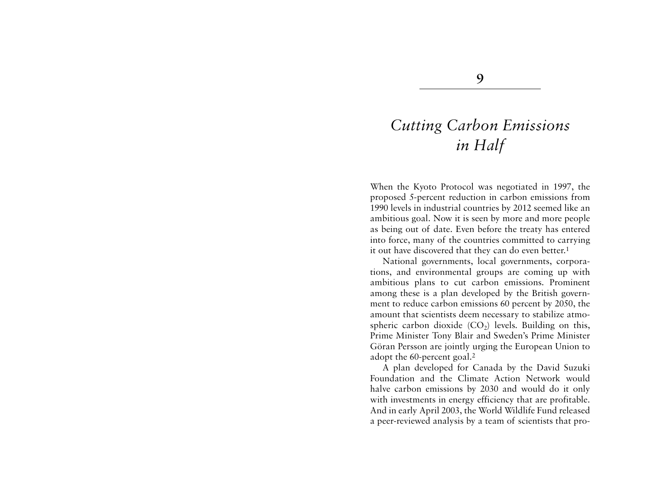# *Cutting Carbon Emissions in Half*

When the Kyoto Protocol was negotiated in 1997, the proposed 5-percent reduction in carbon emissions from 1990 levels in industrial countries by 2012 seemed like an ambitious goal. Now it is seen by more and more people as being out of date. Even before the treaty has entered into force, many of the countries committed to carrying it out have discovered that they can do even better.<sup>1</sup>

National governments, local governments, corporations, and environmental groups are coming up with ambitious plans to cut carbon emissions. Prominent among these is a plan developed by the British government to reduce carbon emissions 60 percent by 2050, the amount that scientists deem necessary to stabilize atmospheric carbon dioxide  $(CO_2)$  levels. Building on this, Prime Minister Tony Blair and Sweden's Prime Minister Göran Persson are jointly urging the European Union to adopt the 60-percent goal.2

A plan developed for Canada by the David Suzuki Foundation and the Climate Action Network wouldhalve carbon emissions by 2030 and would do it only with investments in energy efficiency that are profitable. And in early April 2003, the World Wildlife Fund released a peer-reviewed analysis by a team of scientists that pro-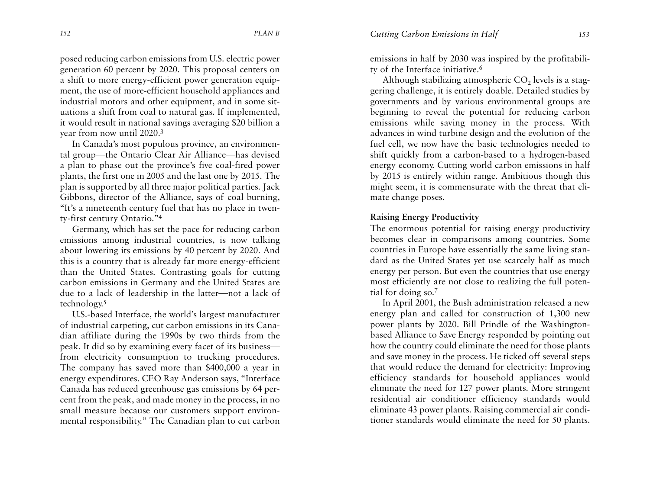posed reducing carbon emissions from U.S. electric power generation 60 percent by 2020. This proposal centers on a shift to more energy-efficient power generation equipment, the use of more-efficient household appliances and industrial motors and other equipment, and in some situations a shift from coal to natural gas. If implemented, it would result in national savings averaging \$20 billion a year from now until 2020.3

In Canada's most populous province, an environmental group—the Ontario Clear Air Alliance—has devised a plan to phase out the province's five coal-fired power <sup>p</sup>lants, the first one in 2005 and the last one by 2015. The <sup>p</sup>lan is supported by all three major political parties. Jack Gibbons, director of the Alliance, says of coal burning, "It's a nineteenth century fuel that has no place in twenty-first century Ontario."4

Germany, which has set the pace for reducing carbon emissions among industrial countries, is now talking about lowering its emissions by 40 percent by 2020. And this is a country that is already far more energy-efficient than the United States. Contrasting goals for cutting carbon emissions in Germany and the United States are due to a lack of leadership in the latter—not a lack of technology.5

U.S.-based Interface, the world's largest manufacturer of industrial carpeting, cut carbon emissions in its Canadian affiliate during the 1990s by two thirds from the peak. It did so by examining every facet of its business from electricity consumption to trucking procedures. The company has saved more than \$400,000 a year in energy expenditures. CEO Ray Anderson says, "Interface Canada has reduced greenhouse gas emissions by 64 percent from the peak, and made money in the process, in no small measure because our customers support environmental responsibility." The Canadian plan to cut carbon

emissions in half by 2030 was inspired by the profitability of the Interface initiative.6

Although stabilizing atmospheric  $\mathrm{CO}_2$  levels is a staggering challenge, it is entirely doable. Detailed studies by governments and by various environmental groups are beginning to reveal the potential for reducing carbon emissions while saving money in the process. With advances in wind turbine design and the evolution of the fuel cell, we now have the basic technologies needed to shift quickly from a carbon-based to a hydrogen-based energy economy. Cutting world carbon emissions in half by 2015 is entirely within range. Ambitious though this might seem, it is commensurate with the threat that climate change poses.

## **Raising Energy Productivity**

The enormous potential for raising energy productivity becomes clear in comparisons among countries. Some countries in Europe have essentially the same living standard as the United States yet use scarcely half as much energy per person. But even the countries that use energy most efficiently are not close to realizing the full potential for doing so.7

In April 2001, the Bush administration released a new energy plan and called for construction of 1,300 new power plants by 2020. Bill Prindle of the Washingtonbased Alliance to Save Energy responded by pointing out how the country could eliminate the need for those plants and save money in the process. He ticked off several steps that would reduce the demand for electricity: Improving efficiency standards for household appliances would eliminate the need for 127 power plants. More stringent residential air conditioner efficiency standards would eliminate 43 power plants. Raising commercial air conditioner standards would eliminate the need for 50 plants.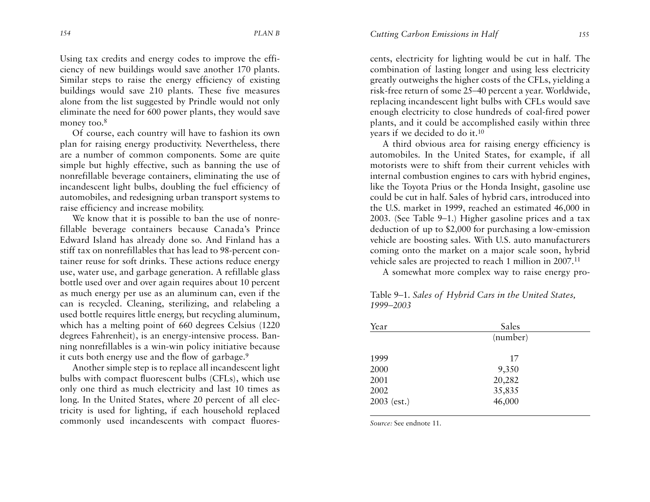Using tax credits and energy codes to improve the effi ciency of new buildings would save another 170 plants. Similar steps to raise the energy efficiency of existing buildings would save 210 plants. These five measures alone from the list suggested by Prindle would not only eliminate the need for 600 power plants, they would save money too.<sup>8</sup>

Of course, each country will have to fashion its own <sup>p</sup>lan for raising energy productivity. Nevertheless, there are a number of common components. Some are quite simple but highly effective, such as banning the use of nonrefillable beverage containers, eliminating the use of incandescent light bulbs, doubling the fuel efficiency of automobiles, and redesigning urban transport systems to raise efficiency and increase mobility.

We know that it is possible to ban the use of nonrefillable beverage containers because Canada's Prince Edward Island has already done so. And Finland has a stiff tax on nonrefillables that has lead to 98-percent container reuse for soft drinks. These actions reduce energy use, water use, and garbage generation. A refillable glass bottle used over and over again requires about 10 percent as much energy per use as an aluminum can, even if the can is recycled. Cleaning, sterilizing, and relabeling a used bottle requires little energy, but recycling aluminum, which has a melting point of 660 degrees Celsius (1220 degrees Fahrenheit), is an energy-intensive process. Banning nonrefillables is a win-win policy initiative because it cuts both energy use and the flow of garbage.9

Another simple step is to replace all incandescent light bulbs with compact fluorescent bulbs (CFLs), which use only one third as much electricity and last 10 times as long. In the United States, where 20 percent of all electricity is used for lighting, if each household replaced commonly used incandescents with compact fluorescents, electricity for lighting would be cut in half. The combination of lasting longer and using less electricity greatly outweighs the higher costs of the CFLs, yielding a risk-free return of some 25–40 percent a year. Worldwide, replacing incandescent light bulbs with CFLs would save enough electricity to close hundreds of coal-fired power <sup>p</sup>lants, and it could be accomplished easily within three years if we decided to do it.10

A third obvious area for raising energy efficiency is automobiles. In the United States, for example, if all motorists were to shift from their current vehicles withinternal combustion engines to cars with hybrid engines, like the Toyota Prius or the Honda Insight, gasoline use could be cut in half. Sales of hybrid cars, introduced into the U.S. market in 1999, reached an estimated 46,000 in 2003. (See Table 9–1.) Higher gasoline prices and a tax deduction of up to \$2,000 for purchasing a low-emission vehicle are boosting sales. With U.S. auto manufacturers coming onto the market on a major scale soon, hybrid vehicle sales are projected to reach 1 million in 2007.11

A somewhat more complex way to raise energy pro-

Table 9–1. *Sales of Hybrid Cars in the United States, 1999–2003*

| Year          | Sales    |  |
|---------------|----------|--|
|               | (number) |  |
| 1999          | 17       |  |
| 2000          | 9,350    |  |
| 2001          | 20,282   |  |
| 2002          | 35,835   |  |
| $2003$ (est.) | 46,000   |  |
|               |          |  |

*Source:* See endnote 11.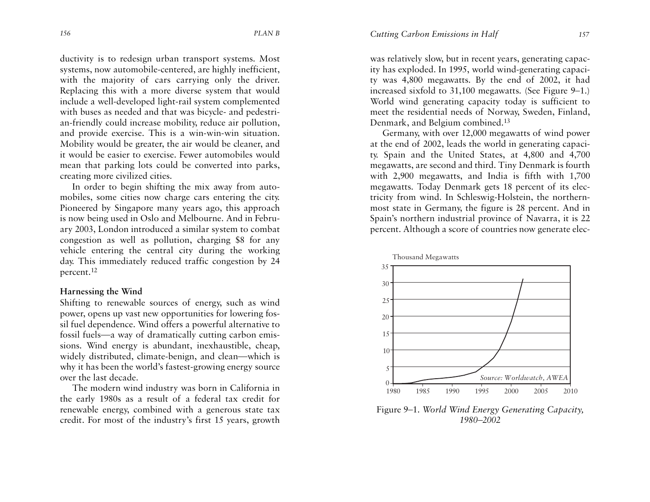ductivity is to redesign urban transport systems. Most systems, now automobile-centered, are highly inefficient, with the majority of cars carrying only the driver. Replacing this with a more diverse system that would include a well-developed light-rail system complemented with buses as needed and that was bicycle- and pedestrian-friendly could increase mobility, reduce air pollution, and provide exercise. This is a win-win-win situation. Mobility would be greater, the air would be cleaner, and it would be easier to exercise. Fewer automobiles wouldmean that parking lots could be converted into parks, creating more civilized cities.

In order to begin shifting the mix away from automobiles, some cities now charge cars entering the city. Pioneered by Singapore many years ago, this approach is now being used in Oslo and Melbourne. And in February 2003, London introduced a similar system to combat congestion as well as pollution, charging \$8 for any vehicle entering the central city during the working day. This immediately reduced traffic congestion by 24 percent.<sup>12</sup>

## **Harnessing the Wind**

Shifting to renewable sources of energy, such as wind power, opens up vast new opportunities for lowering fossil fuel dependence. Wind offers a powerful alternative to fossil fuels—a way of dramatically cutting carbon emissions. Wind energy is abundant, inexhaustible, cheap, widely distributed, climate-benign, and clean—which is why it has been the world's fastest-growing energy source over the last decade.

The modern wind industry was born in California in the early 1980s as a result of a federal tax credit for renewable energy, combined with a generous state tax credit. For most of the industry's first 15 years, growth

was relatively slow, but in recent years, generating capacity has exploded. In 1995, world wind-generating capacity was 4,800 megawatts. By the end of 2002, it had increased sixfold to 31,100 megawatts. (See Figure 9–1.) World wind generating capacity today is sufficient to meet the residential needs of Norway, Sweden, Finland, Denmark, and Belgium combined.13

Germany, with over 12,000 megawatts of wind power at the end of 2002, leads the world in generating capacity. Spain and the United States, at 4,800 and 4,700 megawatts, are second and third. Tiny Denmark is fourth with 2,900 megawatts, and India is fifth with 1,700 megawatts. Today Denmark gets 18 percent of its electricity from wind. In Schleswig-Holstein, the northernmost state in Germany, the figure is 28 percent. And in Spain's northern industrial province of Navarra, it is 22 percent. Although a score of countries now generate elec-



Figure 9–1. *World Wind Energy Generating Capacity, 1980–2002*

*Cutting Carbon Emissions in Half <sup>157</sup>*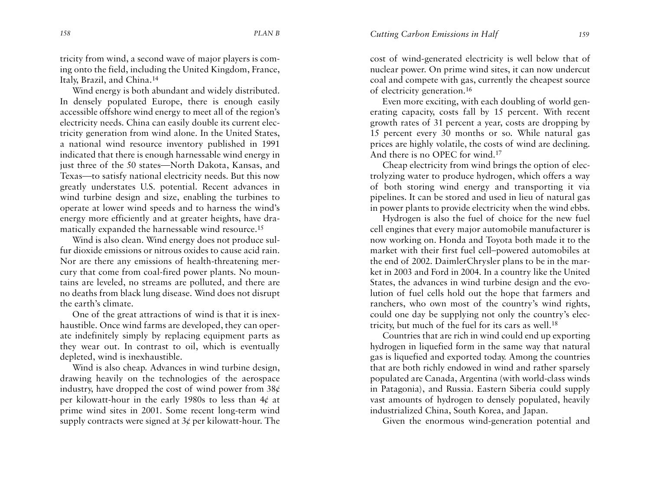tricity from wind, a second wave of major players is coming onto the field, including the United Kingdom, France, Italy, Brazil, and China.14

Wind energy is both abundant and widely distributed. In densely populated Europe, there is enough easily accessible offshore wind energy to meet all of the region's electricity needs. China can easily double its current electricity generation from wind alone. In the United States, a national wind resource inventory published in 1991 indicated that there is enough harnessable wind energy in just three of the 50 states—North Dakota, Kansas, and Texas—to satisfy national electricity needs. But this now greatly understates U.S. potential. Recent advances in wind turbine design and size, enabling the turbines to operate at lower wind speeds and to harness the wind's energy more efficiently and at greater heights, have dramatically expanded the harnessable wind resource.15

Wind is also clean. Wind energy does not produce sulfur dioxide emissions or nitrous oxides to cause acid rain.Nor are there any emissions of health-threatening mercury that come from coal-fired power plants. No mountains are leveled, no streams are polluted, and there are no deaths from black lung disease. Wind does not disrupt the earth's climate.

One of the great attractions of wind is that it is inexhaustible. Once wind farms are developed, they can operate indefinitely simply by replacing equipment parts as they wear out. In contrast to oil, which is eventually depleted, wind is inexhaustible.

Wind is also cheap. Advances in wind turbine design, drawing heavily on the technologies of the aerospace industry, have dropped the cost of wind power from  $38¢$ per kilowatt-hour in the early 1980s to less than 4¢ at prime wind sites in 2001. Some recent long-term wind supply contracts were signed at  $3¢$  per kilowatt-hour. The cost of wind-generated electricity is well below that of nuclear power. On prime wind sites, it can now undercut coal and compete with gas, currently the cheapest source of electricity generation.16

Even more exciting, with each doubling of world generating capacity, costs fall by 15 percent. With recent gr owth rates of 31 percent a year, costs are dropping by 15 percent every 30 months or so. While natural gas prices are highly volatile, the costs of wind are declining. And there is no OPEC for wind.17

Cheap electricity from wind brings the option of electrolyzing water to produce hydrogen, which offers a way of both storing wind energy and transporting it via <sup>p</sup>ipelines. It can be stored and used in lieu of natural gas in power plants to provide electricity when the wind ebbs.

Hydrogen is also the fuel of choice for the new fuel cell engines that every major automobile manufacturer is now working on. Honda and Toyota both made it to the market with their first fuel cell–powered automobiles at the end of 2002. DaimlerChrysler plans to be in the market in 2003 and Ford in 2004. In a country like the United States, the advances in wind turbine design and the evolution of fuel cells hold out the hope that farmers and ranchers, who own most of the country's wind rights, could one day be supplying not only the country's electricity, but much of the fuel for its cars as well.18

Countries that are rich in wind could end up exporting hydrogen in liquefied form in the same way that natural gas is liquefied and exported today. Among the countries that are both richly endowed in wind and rather sparsely populated are Canada, Argentina (with world-class winds in Patagonia), and Russia. Eastern Siberia could supply vast amounts of hydrogen to densely populated, heavily industrialized China, South Korea, and Japan.

Given the enormous wind-generation potential and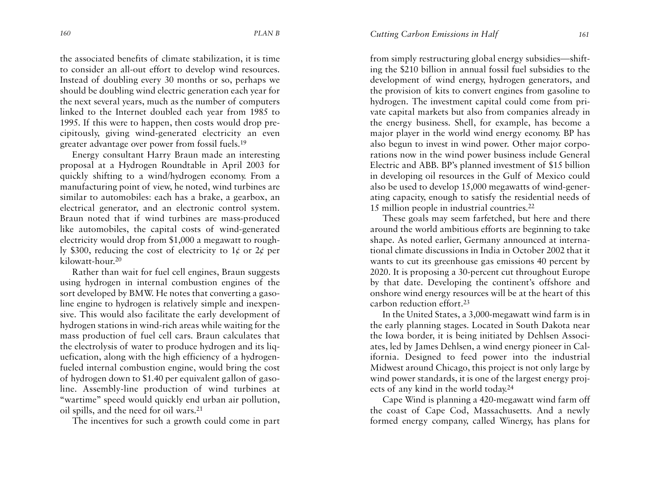the associated benefits of climate stabilization, it is time to consider an all-out effort to develop wind resources. Instead of doubling every 30 months or so, perhaps we should be doubling wind electric generation each year for the next several years, much as the number of computers linked to the Internet doubled each year from 1985 to 1995. If this were to happen, then costs would drop precipitously, giving wind-generated electricity an even greater advantage over power from fossil fuels.19

Energy consultant Harry Braun made an interesting proposal at a Hydrogen Roundtable in April 2003 for quickly shifting to a wind/hydrogen economy. From a manufacturing point of view, he noted, wind turbines are similar to automobiles: each has a brake, a gearbox, an electrical generator, and an electronic control system. Braun noted that if wind turbines are mass-produced like automobiles, the capital costs of wind-generated electricity would drop from \$1,000 a megawatt to roughly \$300, reducing the cost of electricity to 1¢ or 2¢ per kilowatt-hour.20

Rather than wait for fuel cell engines, Braun suggests using hydrogen in internal combustion engines of the sort developed by BMW. He notes that converting a gasoline engine to hydrogen is relatively simple and inexpensive. This would also facilitate the early development of hydrogen stations in wind-rich areas while waiting for the mass production of fuel cell cars. Braun calculates that the electrolysis of water to produce hydrogen and its liquefication, along with the high efficiency of a hydrogenfueled internal combustion engine, would bring the cost of hydrogen down to \$1.40 per equivalent gallon of gasoline. Assembly-line production of wind turbines at "wartime" speed would quickly end urban air pollution, oil spills, and the need for oil wars.21

The incentives for such a growth could come in part

from simply restructuring global energy subsidies—shifting the \$210 billion in annual fossil fuel subsidies to the development of wind energy, hydrogen generators, and the provision of kits to convert engines from gasoline to hydrogen. The investment capital could come from private capital markets but also from companies already in the energy business. Shell, for example, has become a major player in the world wind energy economy. BP has also begun to invest in wind power. Other major corporations now in the wind power business include General Electric and ABB. BP's planned investment of \$15 billion in developing oil resources in the Gulf of Mexico could also be used to develop 15,000 megawatts of wind-generating capacity, enough to satisfy the residential needs of 15 million people in industrial countries.22

These goals may seem farfetched, but here and there around the world ambitious efforts are beginning to take shape. As noted earlier, Germany announced at international climate discussions in India in October 2002 that it wants to cut its greenhouse gas emissions 40 percent by 2020. It is proposing a 30-percent cut throughout Europe by that date. Developing the continent's offshore and onshore wind energy resources will be at the heart of this carbon reduction effort.23

In the United States, a 3,000-megawatt wind farm is in the early planning stages. Located in South Dakota near the Iowa border, it is being initiated by Dehlsen Associates, led by James Dehlsen, a wind energy pioneer in California. Designed to feed power into the industrial Midwest around Chicago, this project is not only large by wind power standards, it is one of the largest energy projects of any kind in the world today.24

Cape Wind is planning a 420-megawatt wind farm off the coast of Cape Cod, Massachusetts. And a newly formed energy company, called Winergy, has plans for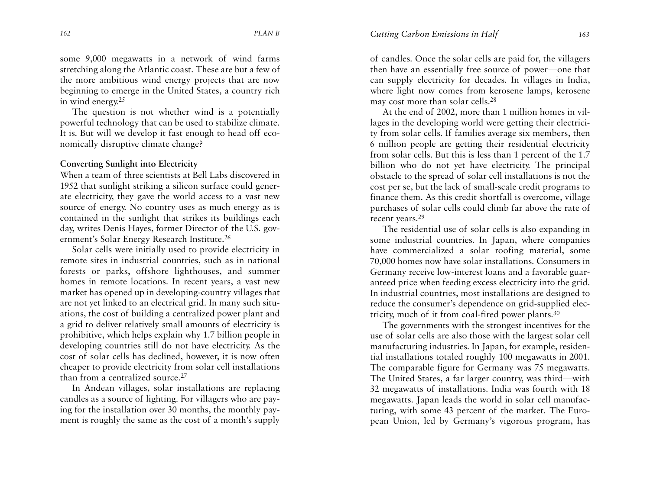some 9,000 megawatts in a network of wind farms stretching along the Atlantic coast. These are but a few of the more ambitious wind energy projects that are now beginning to emerge in the United States, a country rich in wind energy. $25$ 

The question is not whether wind is a potentially powerful technology that can be used to stabilize climate. It is. But will we develop it fast enough to head off economically disruptive climate change?

## **Converting Sunlight into Electricity**

When a team of three scientists at Bell Labs discovered in1952 that sunlight striking a silicon surface could generate electricity, they gave the world access to a vast new source of energy. No country uses as much energy as is contained in the sunlight that strikes its buildings each day, writes Denis Hayes, former Director of the U.S. government's Solar Energy Research Institute.26

Solar cells were initially used to provide electricity in remote sites in industrial countries, such as in national forests or parks, offshore lighthouses, and summer homes in remote locations. In recent years, a vast new market has opened up in developing-country villages that are not yet linked to an electrical grid. In many such situations, the cost of building a centralized power plant and a grid to deliver relatively small amounts of electricity is prohibitive, which helps explain why 1.7 billion people in developing countries still do not have electricity. As the cost of solar cells has declined, however, it is now often cheaper to provide electricity from solar cell installations than from a centralized source.<sup>27</sup>

In Andean villages, solar installations are replacing candles as a source of lighting. For villagers who are paying for the installation over 30 months, the monthly payment is roughly the same as the cost of a month's supply

of candles. Once the solar cells are paid for, the villagers then have an essentially free source of power—one that can supply electricity for decades. In villages in India, where light now comes from kerosene lamps, kerosene may cost more than solar cells.28

At the end of 2002, more than 1 million homes in villages in the developing world were getting their electricity from solar cells. If families average six members, then 6 million people are getting their residential electricity from solar cells. But this is less than 1 percent of the 1.7 billion who do not yet have electricity. The principal obstacle to the spread of solar cell installations is not the cost per se, but the lack of small-scale credit programs to finance them. As this credit shortfall is overcome, village purchases of solar cells could climb far above the rate of recent years.<sup>29</sup>

The residential use of solar cells is also expanding in some industrial countries. In Japan, where companies have commercialized a solar roofing material, some 70,000 homes now have solar installations. Consumers in Germany receive low-interest loans and a favorable guaranteed price when feeding excess electricity into the grid. In industrial countries, most installations are designed to reduce the consumer's dependence on grid-supplied electricity, much of it from coal-fired power plants.30

The governments with the strongest incentives for the use of solar cells are also those with the largest solar cell manufacturing industries. In Japan, for example, residential installations totaled roughly 100 megawatts in 2001. The comparable figure for Germany was 75 megawatts. The United States, a far larger country, was third—with 32 megawatts of installations. India was fourth with 18 megawatts. Japan leads the world in solar cell manufacturing, with some 43 percent of the market. The European Union, led by Germany's vigorous program, has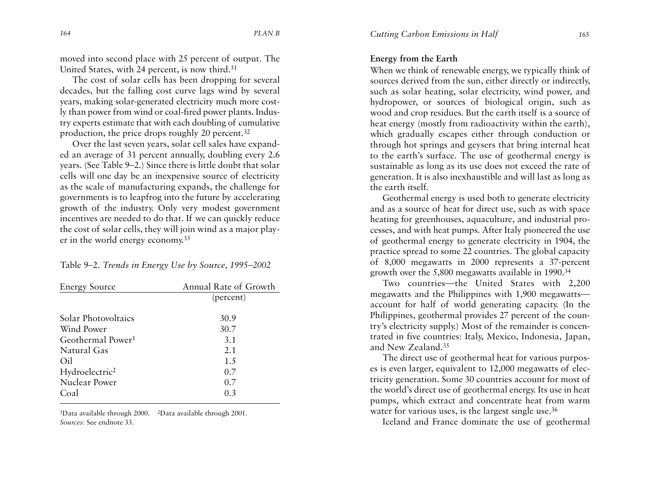moved into second place with 25 percent of output. The United States, with 24 percent, is now third.31

The cost of solar cells has been dropping for several decades, but the falling cost curve lags wind by several years, making solar-generated electricity much more costly than power from wind or coal-fired power plants. Industry experts estimate that with each doubling of cumulative production, the price drops roughly 20 percent.32

Over the last seven years, solar cell sales have expanded an average of 31 percent annually, doubling every 2.6 years. (See Table 9–2.) Since there is little doubt that solar cells will one day be an inexpensive source of electricity as the scale of manufacturing expands, the challenge for governments is to leapfrog into the future by accelerating gr owth of the industry. Only very modest government incentives are needed to do that. If we can quickly reduce the cost of solar cells, they will join wind as a major player in the world energy economy.33

#### Table 9–2. *Trends in Energy Use by Source, 1995–2002*

| <b>Energy Source</b>          | Annual Rate of Growth |
|-------------------------------|-----------------------|
|                               | (percent)             |
| Solar Photovoltaics           | 30.9                  |
| Wind Power                    | 30.7                  |
| Geothermal Power <sup>1</sup> | 3.1                   |
| Natural Gas                   | 2.1                   |
| Oil                           | 1.5                   |
| Hydroelectric <sup>2</sup>    | 0.7                   |
| Nuclear Power                 | 0.7                   |
| Coal                          | 0.3                   |

1Data available through 2000. 2Data available through 2001. *Sources*: See endnote 33.

## **Energy from the Earth**

When we think of renewable energy, we typically think of sources derived from the sun, either directly or indirectly, such as solar heating, solar electricity, wind power, and hydropower, or sources of biological origin, such as wood and crop residues. But the earth itself is a source of heat energy (mostly from radioactivity within the earth), which gradually escapes either through conduction or through hot springs and geysers that bring internal heat to the earth's surface. The use of geothermal energy is sustainable as long as its use does not exceed the rate of generation. It is also inexhaustible and will last as long as the earth itself.

Geothermal energy is used both to generate electricity and as a source of heat for direct use, such as with space heating for greenhouses, aquaculture, and industrial processes, and with heat pumps. After Italy pioneered the use of geothermal energy to generate electricity in 1904, the practice spread to some 22 countries. The global capacity of 8,000 megawatts in 2000 represents a 37-percent gr owth over the 5,800 megawatts available in 1990.34

Two countries—the United States with 2,200 megawatts and the Philippines with 1,900 megawatts account for half of world generating capacity. (In the Philippines, geothermal provides 27 percent of the country's electricity supply.) Most of the remainder is concentrated in five countries: Italy, Mexico, Indonesia, Japan, and New Zealand.35

The direct use of geothermal heat for various purposes is even larger, equivalent to 12,000 megawatts of electricity generation. Some 30 countries account for most of the world's direct use of geothermal energy. Its use in heat pumps, which extract and concentrate heat from warm water for various uses, is the largest single use.<sup>36</sup>

Iceland and France dominate the use of geothermal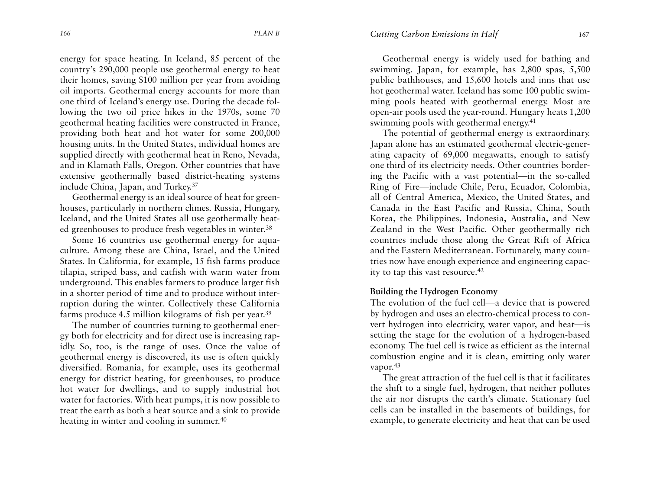energy for space heating. In Iceland, 85 percent of the country's 290,000 people use geothermal energy to heat their homes, saving \$100 million per year from avoiding oil imports. Geothermal energy accounts for more than one third of Iceland's energy use. During the decade following the two oil price hikes in the 1970s, some 70 geothermal heating facilities were constructed in France, providing both heat and hot water for some 200,000 housing units. In the United States, individual homes are supplied directly with geothermal heat in Reno, Nevada, and in Klamath Falls, Oregon. Other countries that have extensive geothermally based district-heating systems include China, Japan, and Turkey.37

Geothermal energy is an ideal source of heat for greenhouses, particularly in northern climes. Russia, Hungary, Iceland, and the United States all use geothermally heated greenhouses to produce fresh vegetables in winter.38

Some 16 countries use geothermal energy for aquaculture. Among these are China, Israel, and the United States. In California, for example, 15 fish farms produce tilapia, striped bass, and catfish with warm water from underground. This enables farmers to produce larger fish in a shorter period of time and to produce without interruption during the winter. Collectively these California farms produce 4.5 million kilograms of fish per year.39

The number of countries turning to geothermal energy both for electricity and for direct use is increasing rapidly. So, too, is the range of uses. Once the value of geothermal energy is discovered, its use is often quickly diversified. Romania, for example, uses its geothermal energy for district heating, for greenhouses, to produce hot water for dwellings, and to supply industrial hot water for factories. With heat pumps, it is now possible to treat the earth as both a heat source and a sink to provide heating in winter and cooling in summer.<sup>40</sup>

Geothermal energy is widely used for bathing and swimming. Japan, for example, has 2,800 spas, 5,500 public bathhouses, and 15,600 hotels and inns that use hot geothermal water. Iceland has some 100 public swimming pools heated with geothermal energy. Most are open-air pools used the year-round. Hungary heats 1,200 swimming pools with geothermal energy.<sup>41</sup>

The potential of geothermal energy is extraordinary. Japan alone has an estimated geothermal electric-generating capacity of 69,000 megawatts, enough to satisfy one third of its electricity needs. Other countries bordering the Pacific with a vast potential—in the so-called Ring of Fire—include Chile, Peru, Ecuador, Colombia, all of Central America, Mexico, the United States, and Canada in the East Pacific and Russia, China, South Korea, the Philippines, Indonesia, Australia, and New Zealand in the West Pacific. Other geothermally rich countries include those along the Great Rift of Africa and the Eastern Mediterranean. Fortunately, many countries now have enough experience and engineering capacity to tap this vast resource.42

## **Building the Hydrogen Economy**

The evolution of the fuel cell—a device that is powered by hydrogen and uses an electro-chemical process to convert hydrogen into electricity, water vapor, and heat—is setting the stage for the evolution of a hydrogen-based economy. The fuel cell is twice as efficient as the internal combustion engine and it is clean, emitting only water vapor.<sup>43</sup>

The great attraction of the fuel cell is that it facilitates the shift to a single fuel, hydrogen, that neither pollutes the air nor disrupts the earth's climate. Stationary fuel cells can be installed in the basements of buildings, for example, to generate electricity and heat that can be used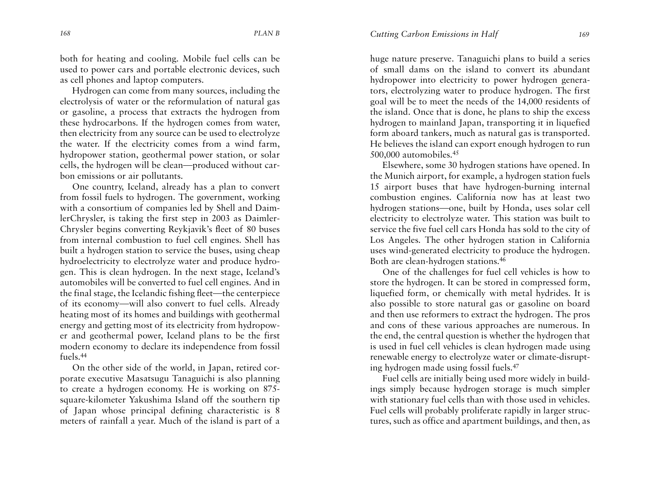both for heating and cooling. Mobile fuel cells can be used to power cars and portable electronic devices, such as cell phones and laptop computers.

Hydrogen can come from many sources, including the electrolysis of water or the reformulation of natural gas or gasoline, a process that extracts the hydrogen from these hydrocarbons. If the hydrogen comes from water, then electricity from any source can be used to electrolyze the water. If the electricity comes from a wind farm, hydropower station, geothermal power station, or solar cells, the hydrogen will be clean—produced without carbon emissions or air pollutants.

One country, Iceland, already has a plan to convert from fossil fuels to hydrogen. The government, working with a consortium of companies led by Shell and DaimlerChrysler, is taking the first step in 2003 as Daimler-Chrysler begins converting Reykjavik's fleet of 80 buses from internal combustion to fuel cell engines. Shell has built a hydrogen station to service the buses, using cheap hydroelectricity to electrolyze water and produce hydrogen. This is clean hydrogen. In the next stage, Iceland's automobiles will be converted to fuel cell engines. And in the final stage, the Icelandic fishing fleet—the centerpiece of its economy—will also convert to fuel cells. Already heating most of its homes and buildings with geothermal energy and getting most of its electricity from hydropower and geothermal power, Iceland plans to be the first modern economy to declare its independence from fossil fuels.44

On the other side of the world, in Japan, retired corporate executive Masatsugu Tanaguichi is also planning to create a hydrogen economy. He is working on 875 square-kilometer Yakushima Island off the southern tip of Japan whose principal defining characteristic is 8 meters of rainfall a year. Much of the island is part of <sup>a</sup>

huge nature preserve. Tanaguichi plans to build a series of small dams on the island to convert its abundanthydropower into electricity to power hydrogen generators, electrolyzing water to produce hydrogen. The first goal will be to meet the needs of the 14,000 residents of the island. Once that is done, he plans to ship the excess hydrogen to mainland Japan, transporting it in liquefied form aboard tankers, much as natural gas is transported. He believes the island can export enough hydrogen to run 500,000 automobiles.45

Elsewhere, some 30 hydrogen stations have opened. In the Munich airport, for example, a hydrogen station fuels 15 airport buses that have hydrogen-burning internal combustion engines. California now has at least two hydrogen stations—one, built by Honda, uses solar cell electricity to electrolyze water. This station was built to service the five fuel cell cars Honda has sold to the city of Los Angeles. The other hydrogen station in California uses wind-generated electricity to produce the hydrogen. Both are clean-hydrogen stations.46

One of the challenges for fuel cell vehicles is how to store the hydrogen. It can be stored in compressed form, liquefied form, or chemically with metal hydrides. It is also possible to store natural gas or gasoline on board and then use reformers to extract the hydrogen. The pros and cons of these various approaches are numerous. In the end, the central question is whether the hydrogen that is used in fuel cell vehicles is clean hydrogen made using renewable energy to electrolyze water or climate-disrupting hydrogen made using fossil fuels.47

Fuel cells are initially being used more widely in buildings simply because hydrogen storage is much simpler with stationary fuel cells than with those used in vehicles. Fuel cells will probably proliferate rapidly in larger structures, such as office and apartment buildings, and then, as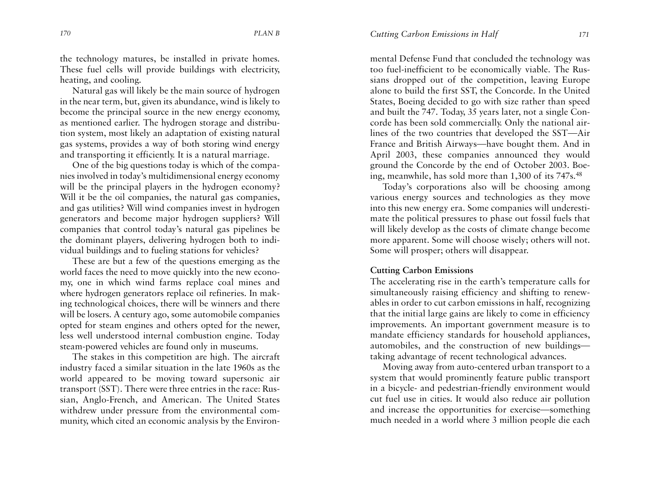the technology matures, be installed in private homes. These fuel cells will provide buildings with electricity, heating, and cooling.

Natural gas will likely be the main source of hydrogen in the near term, but, given its abundance, wind is likely to become the principal source in the new energy economy, as mentioned earlier. The hydrogen storage and distribution system, most likely an adaptation of existing natural gas systems, provides a way of both storing wind energy and transporting it efficiently. It is a natural marriage.

One of the big questions today is which of the companies involved in today's multidimensional energy economy will be the principal players in the hydrogen economy? Will it be the oil companies, the natural gas companies, and gas utilities? Will wind companies invest in hydrogen generators and become major hydrogen suppliers? Will companies that control today's natural gas pipelines be the dominant players, delivering hydrogen both to individual buildings and to fueling stations for vehicles?

These are but a few of the questions emerging as the world faces the need to move quickly into the new economy, one in which wind farms replace coal mines and where hydrogen generators replace oil refineries. In making technological choices, there will be winners and there will be losers. A century ago, some automobile companies opted for steam engines and others opted for the newer, less well understood internal combustion engine. Today steam-powered vehicles are found only in museums.

The stakes in this competition are high. The aircraft industry faced a similar situation in the late 1960s as the world appeared to be moving toward supersonic air transport (SST). There were three entries in the race: Russian, Anglo-French, and American. The United States withdrew under pressure from the environmental community, which cited an economic analysis by the Environmental Defense Fund that concluded the technology was too fuel-inefficient to be economically viable. The Russians dropped out of the competition, leaving Europe alone to build the first SST, the Concorde. In the United States, Boeing decided to go with size rather than speed and built the 747. Today, 35 years later, not a single Concorde has been sold commercially. Only the national airlines of the two countries that developed the SST—Air France and British Airways—have bought them. And in April 2003, these companies announced they would ground the Concorde by the end of October 2003. Boeing, meanwhile, has sold more than 1,300 of its 747s.48

Today's corporations also will be choosing among various energy sources and technologies as they move into this new energy era. Some companies will underestimate the political pressures to phase out fossil fuels that will likely develop as the costs of climate change become more apparent. Some will choose wisely; others will not. Some will prosper; others will disappear.

#### **Cutting Carbon Emissions**

The accelerating rise in the earth's temperature calls for simultaneously raising efficiency and shifting to renewables in order to cut carbon emissions in half, recognizing that the initial large gains are likely to come in efficiency improvements. An important government measure is to mandate efficiency standards for household appliances, automobiles, and the construction of new buildings taking advantage of recent technological advances.

Moving away from auto-centered urban transport to a system that would prominently feature public transport in a bicycle- and pedestrian-friendly environment would cut fuel use in cities. It would also reduce air pollution and increase the opportunities for exercise—something much needed in a world where 3 million people die each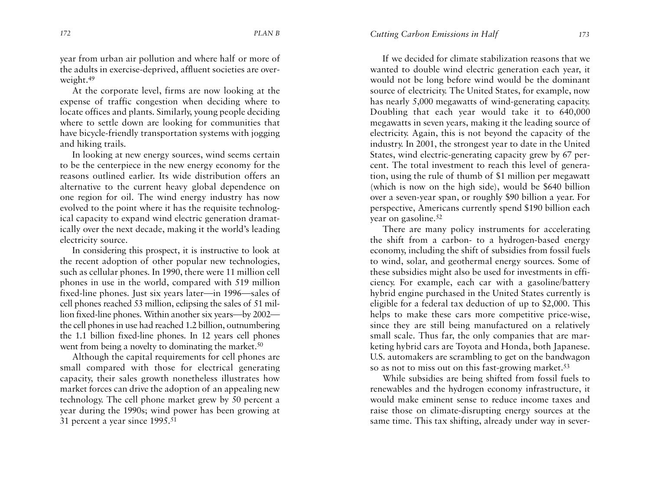year from urban air pollution and where half or more of the adults in exercise-deprived, affluent societies are overweight.49

At the corporate level, firms are now looking at the expense of traffic congestion when deciding where to locate offices and plants. Similarly, young people deciding where to settle down are looking for communities that have bicycle-friendly transportation systems with jogging and hiking trails.

In looking at new energy sources, wind seems certain to be the centerpiece in the new energy economy for the reasons outlined earlier. Its wide distribution offers analternative to the current heavy global dependence on one region for oil. The wind energy industry has now evolved to the point where it has the requisite technological capacity to expand wind electric generation dramatically over the next decade, making it the world's leading electricity source.

In considering this prospect, it is instructive to look at the recent adoption of other popular new technologies, such as cellular phones. In 1990, there were 11 million cell <sup>p</sup>hones in use in the world, compared with 519 million fixed-line phones. Just six years later—in 1996—sales of cell phones reached 53 million, eclipsing the sales of 51 million fixed-line phones. Within another six years—by 2002 the cell phones in use had reached 1.2 billion, outnumbering the 1.1 billion fixed-line phones. In 12 years cell phones went from being a novelty to dominating the market.<sup>50</sup>

Although the capital requirements for cell phones are small compared with those for electrical generating capacity, their sales growth nonetheless illustrates how market forces can drive the adoption of an appealing new technology. The cell phone market grew by 50 percent a year during the 1990s; wind power has been growing at 31 percent a year since 1995.51

If we decided for climate stabilization reasons that wewanted to double wind electric generation each year, it would not be long before wind would be the dominant source of electricity. The United States, for example, now has nearly 5,000 megawatts of wind-generating capacity. Doubling that each year would take it to 640,000 megawatts in seven years, making it the leading source of electricity. Again, this is not beyond the capacity of the industry. In 2001, the strongest year to date in the United States, wind electric-generating capacity grew by 67 percent. The total investment to reach this level of generation, using the rule of thumb of \$1 million per megawatt (which is now on the high side), would be \$640 billion over a seven-year span, or roughly \$90 billion a year. For perspective, Americans currently spend \$190 billion each year on gasoline.52

There are many policy instruments for accelerating the shift from a carbon- to a hydrogen-based energy economy, including the shift of subsidies from fossil fuels to wind, solar, and geothermal energy sources. Some of these subsidies might also be used for investments in efficiency. For example, each car with a gasoline/battery hybrid engine purchased in the United States currently is eligible for a federal tax deduction of up to \$2,000. This helps to make these cars more competitive price-wise, since they are still being manufactured on a relatively small scale. Thus far, the only companies that are marketing hybrid cars are Toyota and Honda, both Japanese. U.S. automakers are scrambling to get on the bandwagon so as not to miss out on this fast-growing market.<sup>53</sup>

While subsidies are being shifted from fossil fuels to renewables and the hydrogen economy infrastructure, it would make eminent sense to reduce income taxes andraise those on climate-disrupting energy sources at the same time. This tax shifting, already under way in sever-